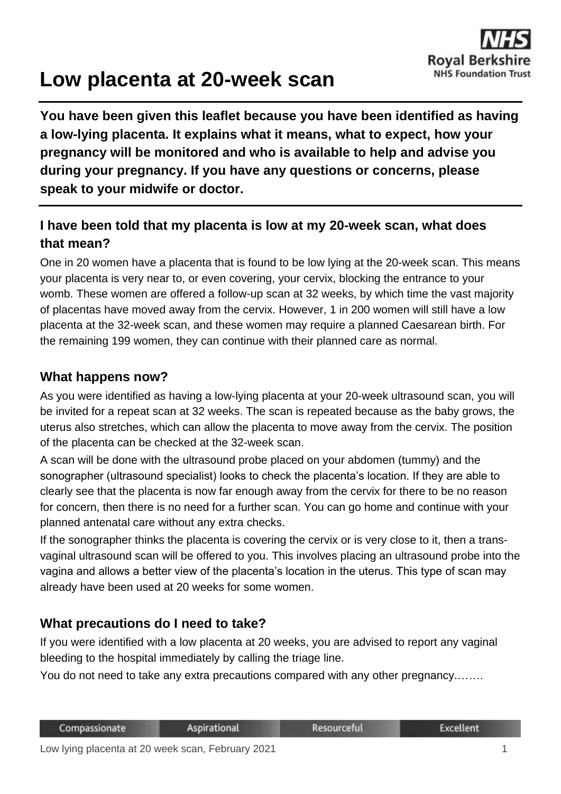

# **Low placenta at 20-week scan**

**You have been given this leaflet because you have been identified as having a low-lying placenta. It explains what it means, what to expect, how your pregnancy will be monitored and who is available to help and advise you during your pregnancy. If you have any questions or concerns, please speak to your midwife or doctor.**

## **I have been told that my placenta is low at my 20-week scan, what does that mean?**

One in 20 women have a placenta that is found to be low lying at the 20-week scan. This means your placenta is very near to, or even covering, your cervix, blocking the entrance to your womb. These women are offered a follow-up scan at 32 weeks, by which time the vast majority of placentas have moved away from the cervix. However, 1 in 200 women will still have a low placenta at the 32-week scan, and these women may require a planned Caesarean birth. For the remaining 199 women, they can continue with their planned care as normal.

#### **What happens now?**

As you were identified as having a low-lying placenta at your 20-week ultrasound scan, you will be invited for a repeat scan at 32 weeks. The scan is repeated because as the baby grows, the uterus also stretches, which can allow the placenta to move away from the cervix. The position of the placenta can be checked at the 32-week scan.

A scan will be done with the ultrasound probe placed on your abdomen (tummy) and the sonographer (ultrasound specialist) looks to check the placenta's location. If they are able to clearly see that the placenta is now far enough away from the cervix for there to be no reason for concern, then there is no need for a further scan. You can go home and continue with your planned antenatal care without any extra checks.

If the sonographer thinks the placenta is covering the cervix or is very close to it, then a transvaginal ultrasound scan will be offered to you. This involves placing an ultrasound probe into the vagina and allows a better view of the placenta's location in the uterus. This type of scan may already have been used at 20 weeks for some women.

#### **What precautions do I need to take?**

If you were identified with a low placenta at 20 weeks, you are advised to report any vaginal bleeding to the hospital immediately by calling the triage line.

You do not need to take any extra precautions compared with any other pregnancy.…….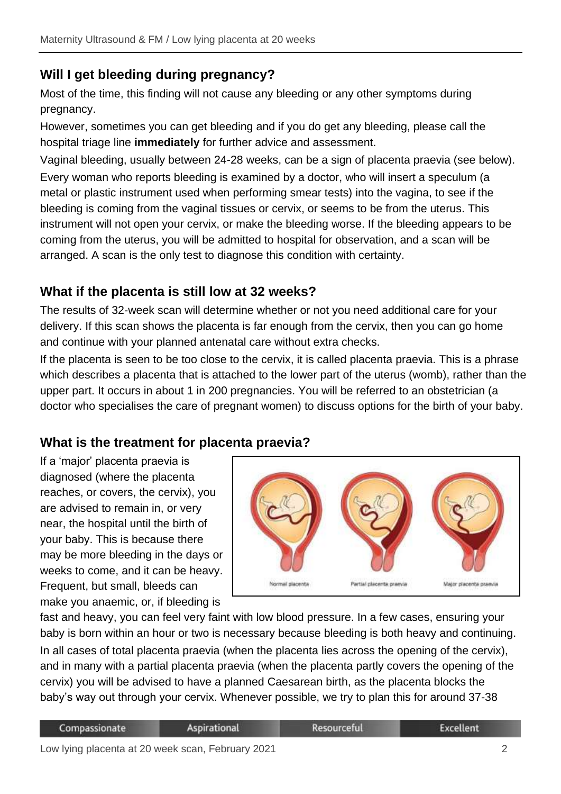## **Will I get bleeding during pregnancy?**

Most of the time, this finding will not cause any bleeding or any other symptoms during pregnancy.

However, sometimes you can get bleeding and if you do get any bleeding, please call the hospital triage line **immediately** for further advice and assessment.

Vaginal bleeding, usually between 24-28 weeks, can be a sign of placenta praevia (see below). Every woman who reports bleeding is examined by a doctor, who will insert a speculum (a metal or plastic instrument used when performing smear tests) into the vagina, to see if the bleeding is coming from the vaginal tissues or cervix, or seems to be from the uterus. This instrument will not open your cervix, or make the bleeding worse. If the bleeding appears to be coming from the uterus, you will be admitted to hospital for observation, and a scan will be arranged. A scan is the only test to diagnose this condition with certainty.

#### **What if the placenta is still low at 32 weeks?**

The results of 32-week scan will determine whether or not you need additional care for your delivery. If this scan shows the placenta is far enough from the cervix, then you can go home and continue with your planned antenatal care without extra checks.

If the placenta is seen to be too close to the cervix, it is called placenta praevia. This is a phrase which describes a placenta that is attached to the lower part of the uterus (womb), rather than the upper part. It occurs in about 1 in 200 pregnancies. You will be referred to an obstetrician (a doctor who specialises the care of pregnant women) to discuss options for the birth of your baby.

## **What is the treatment for placenta praevia?**

If a 'major' placenta praevia is diagnosed (where the placenta reaches, or covers, the cervix), you are advised to remain in, or very near, the hospital until the birth of your baby. This is because there may be more bleeding in the days or weeks to come, and it can be heavy. Frequent, but small, bleeds can make you anaemic, or, if bleeding is



fast and heavy, you can feel very faint with low blood pressure. In a few cases, ensuring your baby is born within an hour or two is necessary because bleeding is both heavy and continuing. In all cases of total placenta praevia (when the placenta lies across the opening of the cervix), and in many with a partial placenta praevia (when the placenta partly covers the opening of the cervix) you will be advised to have a planned Caesarean birth, as the placenta blocks the baby's way out through your cervix. Whenever possible, we try to plan this for around 37-38

| Compassionate | Aspirational | Resourceful | Excellent |
|---------------|--------------|-------------|-----------|
|               |              |             |           |